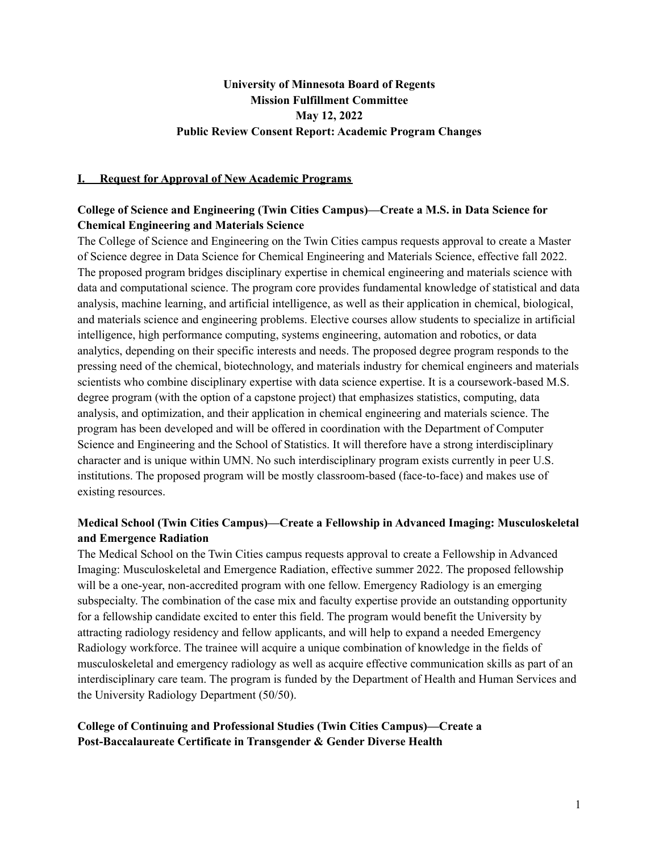# **University of Minnesota Board of Regents Mission Fulfillment Committee May 12, 2022 Public Review Consent Report: Academic Program Changes**

#### **I. Request for Approval of New Academic Programs**

## **College of Science and Engineering (Twin Cities Campus)—Create a M.S. in Data Science for Chemical Engineering and Materials Science**

The College of Science and Engineering on the Twin Cities campus requests approval to create a Master of Science degree in Data Science for Chemical Engineering and Materials Science, effective fall 2022. The proposed program bridges disciplinary expertise in chemical engineering and materials science with data and computational science. The program core provides fundamental knowledge of statistical and data analysis, machine learning, and artificial intelligence, as well as their application in chemical, biological, and materials science and engineering problems. Elective courses allow students to specialize in artificial intelligence, high performance computing, systems engineering, automation and robotics, or data analytics, depending on their specific interests and needs. The proposed degree program responds to the pressing need of the chemical, biotechnology, and materials industry for chemical engineers and materials scientists who combine disciplinary expertise with data science expertise. It is a coursework-based M.S. degree program (with the option of a capstone project) that emphasizes statistics, computing, data analysis, and optimization, and their application in chemical engineering and materials science. The program has been developed and will be offered in coordination with the Department of Computer Science and Engineering and the School of Statistics. It will therefore have a strong interdisciplinary character and is unique within UMN. No such interdisciplinary program exists currently in peer U.S. institutions. The proposed program will be mostly classroom-based (face-to-face) and makes use of existing resources.

## **Medical School (Twin Cities Campus)—Create a Fellowship in Advanced Imaging: Musculoskeletal and Emergence Radiation**

The Medical School on the Twin Cities campus requests approval to create a Fellowship in Advanced Imaging: Musculoskeletal and Emergence Radiation, effective summer 2022. The proposed fellowship will be a one-year, non-accredited program with one fellow. Emergency Radiology is an emerging subspecialty. The combination of the case mix and faculty expertise provide an outstanding opportunity for a fellowship candidate excited to enter this field. The program would benefit the University by attracting radiology residency and fellow applicants, and will help to expand a needed Emergency Radiology workforce. The trainee will acquire a unique combination of knowledge in the fields of musculoskeletal and emergency radiology as well as acquire effective communication skills as part of an interdisciplinary care team. The program is funded by the Department of Health and Human Services and the University Radiology Department (50/50).

## **College of Continuing and Professional Studies (Twin Cities Campus)—Create a Post-Baccalaureate Certificate in Transgender & Gender Diverse Health**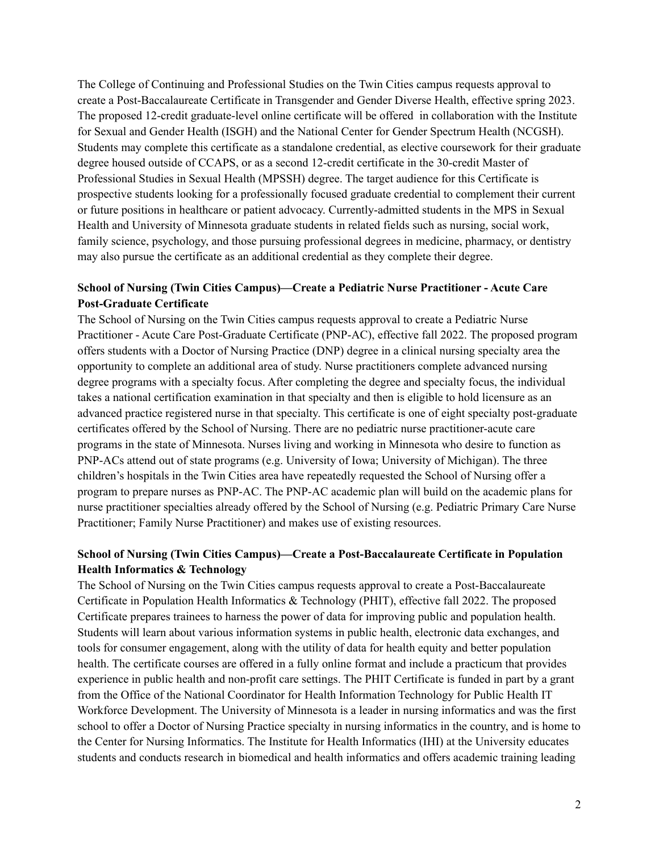The College of Continuing and Professional Studies on the Twin Cities campus requests approval to create a Post-Baccalaureate Certificate in Transgender and Gender Diverse Health, effective spring 2023. The proposed 12-credit graduate-level online certificate will be offered in collaboration with the Institute for Sexual and Gender Health (ISGH) and the National Center for Gender Spectrum Health (NCGSH). Students may complete this certificate as a standalone credential, as elective coursework for their graduate degree housed outside of CCAPS, or as a second 12-credit certificate in the 30-credit Master of Professional Studies in Sexual Health (MPSSH) degree. The target audience for this Certificate is prospective students looking for a professionally focused graduate credential to complement their current or future positions in healthcare or patient advocacy. Currently-admitted students in the MPS in Sexual Health and University of Minnesota graduate students in related fields such as nursing, social work, family science, psychology, and those pursuing professional degrees in medicine, pharmacy, or dentistry may also pursue the certificate as an additional credential as they complete their degree.

## **School of Nursing (Twin Cities Campus)—Create a Pediatric Nurse Practitioner - Acute Care Post-Graduate Certificate**

The School of Nursing on the Twin Cities campus requests approval to create a Pediatric Nurse Practitioner - Acute Care Post-Graduate Certificate (PNP-AC), effective fall 2022. The proposed program offers students with a Doctor of Nursing Practice (DNP) degree in a clinical nursing specialty area the opportunity to complete an additional area of study. Nurse practitioners complete advanced nursing degree programs with a specialty focus. After completing the degree and specialty focus, the individual takes a national certification examination in that specialty and then is eligible to hold licensure as an advanced practice registered nurse in that specialty. This certificate is one of eight specialty post-graduate certificates offered by the School of Nursing. There are no pediatric nurse practitioner-acute care programs in the state of Minnesota. Nurses living and working in Minnesota who desire to function as PNP-ACs attend out of state programs (e.g. University of Iowa; University of Michigan). The three children's hospitals in the Twin Cities area have repeatedly requested the School of Nursing offer a program to prepare nurses as PNP-AC. The PNP-AC academic plan will build on the academic plans for nurse practitioner specialties already offered by the School of Nursing (e.g. Pediatric Primary Care Nurse Practitioner; Family Nurse Practitioner) and makes use of existing resources.

## **School of Nursing (Twin Cities Campus)—Create a Post-Baccalaureate Certificate in Population Health Informatics & Technology**

The School of Nursing on the Twin Cities campus requests approval to create a Post-Baccalaureate Certificate in Population Health Informatics & Technology (PHIT), effective fall 2022. The proposed Certificate prepares trainees to harness the power of data for improving public and population health. Students will learn about various information systems in public health, electronic data exchanges, and tools for consumer engagement, along with the utility of data for health equity and better population health. The certificate courses are offered in a fully online format and include a practicum that provides experience in public health and non-profit care settings. The PHIT Certificate is funded in part by a grant from the Office of the National Coordinator for Health Information Technology for Public Health IT Workforce Development. The University of Minnesota is a leader in nursing informatics and was the first school to offer a Doctor of Nursing Practice specialty in nursing informatics in the country, and is home to the Center for Nursing Informatics. The Institute for Health Informatics (IHI) at the University educates students and conducts research in biomedical and health informatics and offers academic training leading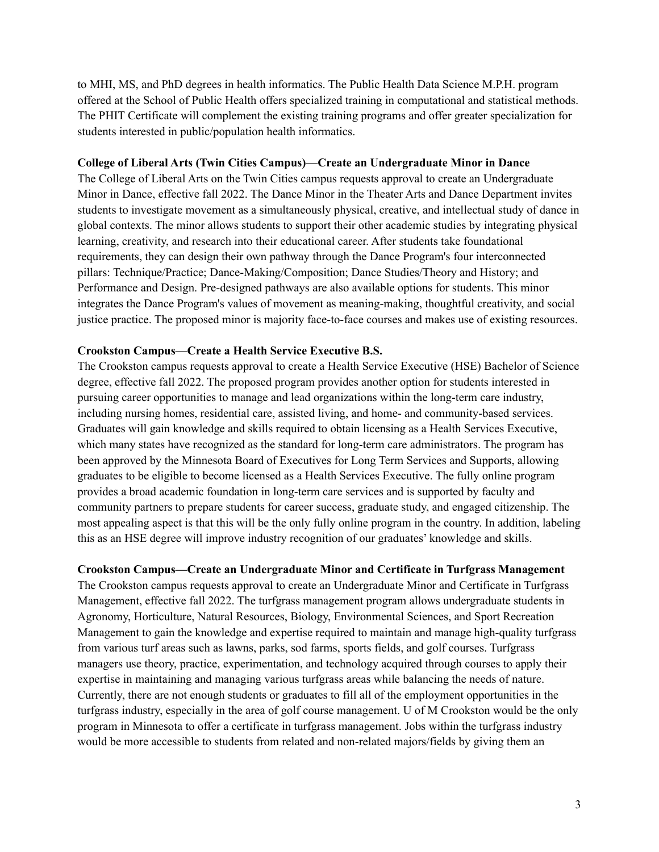to MHI, MS, and PhD degrees in health informatics. The Public Health Data Science M.P.H. program offered at the School of Public Health offers specialized training in computational and statistical methods. The PHIT Certificate will complement the existing training programs and offer greater specialization for students interested in public/population health informatics.

#### **College of Liberal Arts (Twin Cities Campus)—Create an Undergraduate Minor in Dance**

The College of Liberal Arts on the Twin Cities campus requests approval to create an Undergraduate Minor in Dance, effective fall 2022. The Dance Minor in the Theater Arts and Dance Department invites students to investigate movement as a simultaneously physical, creative, and intellectual study of dance in global contexts. The minor allows students to support their other academic studies by integrating physical learning, creativity, and research into their educational career. After students take foundational requirements, they can design their own pathway through the Dance Program's four interconnected pillars: Technique/Practice; Dance-Making/Composition; Dance Studies/Theory and History; and Performance and Design. Pre-designed pathways are also available options for students. This minor integrates the Dance Program's values of movement as meaning-making, thoughtful creativity, and social justice practice. The proposed minor is majority face-to-face courses and makes use of existing resources.

#### **Crookston Campus—Create a Health Service Executive B.S.**

The Crookston campus requests approval to create a Health Service Executive (HSE) Bachelor of Science degree, effective fall 2022. The proposed program provides another option for students interested in pursuing career opportunities to manage and lead organizations within the long-term care industry, including nursing homes, residential care, assisted living, and home- and community-based services. Graduates will gain knowledge and skills required to obtain licensing as a Health Services Executive, which many states have recognized as the standard for long-term care administrators. The program has been approved by the Minnesota Board of Executives for Long Term Services and Supports, allowing graduates to be eligible to become licensed as a Health Services Executive. The fully online program provides a broad academic foundation in long-term care services and is supported by faculty and community partners to prepare students for career success, graduate study, and engaged citizenship. The most appealing aspect is that this will be the only fully online program in the country. In addition, labeling this as an HSE degree will improve industry recognition of our graduates' knowledge and skills.

**Crookston Campus—Create an Undergraduate Minor and Certificate in Turfgrass Management** The Crookston campus requests approval to create an Undergraduate Minor and Certificate in Turfgrass Management, effective fall 2022. The turfgrass management program allows undergraduate students in Agronomy, Horticulture, Natural Resources, Biology, Environmental Sciences, and Sport Recreation Management to gain the knowledge and expertise required to maintain and manage high-quality turfgrass from various turf areas such as lawns, parks, sod farms, sports fields, and golf courses. Turfgrass managers use theory, practice, experimentation, and technology acquired through courses to apply their expertise in maintaining and managing various turfgrass areas while balancing the needs of nature. Currently, there are not enough students or graduates to fill all of the employment opportunities in the turfgrass industry, especially in the area of golf course management. U of M Crookston would be the only program in Minnesota to offer a certificate in turfgrass management. Jobs within the turfgrass industry would be more accessible to students from related and non-related majors/fields by giving them an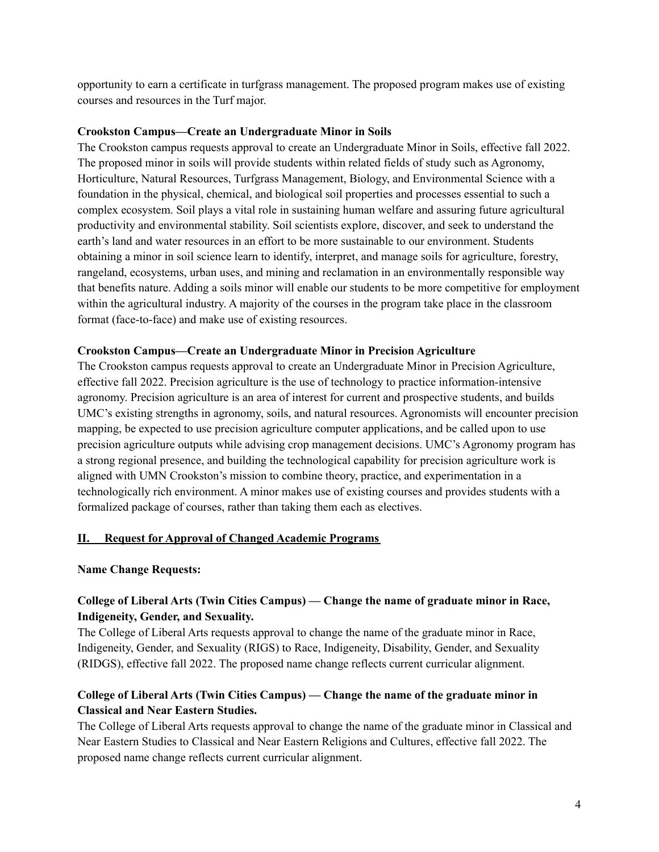opportunity to earn a certificate in turfgrass management. The proposed program makes use of existing courses and resources in the Turf major.

### **Crookston Campus—Create an Undergraduate Minor in Soils**

The Crookston campus requests approval to create an Undergraduate Minor in Soils, effective fall 2022. The proposed minor in soils will provide students within related fields of study such as Agronomy, Horticulture, Natural Resources, Turfgrass Management, Biology, and Environmental Science with a foundation in the physical, chemical, and biological soil properties and processes essential to such a complex ecosystem. Soil plays a vital role in sustaining human welfare and assuring future agricultural productivity and environmental stability. Soil scientists explore, discover, and seek to understand the earth's land and water resources in an effort to be more sustainable to our environment. Students obtaining a minor in soil science learn to identify, interpret, and manage soils for agriculture, forestry, rangeland, ecosystems, urban uses, and mining and reclamation in an environmentally responsible way that benefits nature. Adding a soils minor will enable our students to be more competitive for employment within the agricultural industry. A majority of the courses in the program take place in the classroom format (face-to-face) and make use of existing resources.

### **Crookston Campus—Create an Undergraduate Minor in Precision Agriculture**

The Crookston campus requests approval to create an Undergraduate Minor in Precision Agriculture, effective fall 2022. Precision agriculture is the use of technology to practice information-intensive agronomy. Precision agriculture is an area of interest for current and prospective students, and builds UMC's existing strengths in agronomy, soils, and natural resources. Agronomists will encounter precision mapping, be expected to use precision agriculture computer applications, and be called upon to use precision agriculture outputs while advising crop management decisions. UMC's Agronomy program has a strong regional presence, and building the technological capability for precision agriculture work is aligned with UMN Crookston's mission to combine theory, practice, and experimentation in a technologically rich environment. A minor makes use of existing courses and provides students with a formalized package of courses, rather than taking them each as electives.

## **II. Request for Approval of Changed Academic Programs**

## **Name Change Requests:**

## **College of Liberal Arts (Twin Cities Campus) — Change the name of graduate minor in Race, Indigeneity, Gender, and Sexuality.**

The College of Liberal Arts requests approval to change the name of the graduate minor in Race, Indigeneity, Gender, and Sexuality (RIGS) to Race, Indigeneity, Disability, Gender, and Sexuality (RIDGS), effective fall 2022. The proposed name change reflects current curricular alignment.

## **College of Liberal Arts (Twin Cities Campus) — Change the name of the graduate minor in Classical and Near Eastern Studies.**

The College of Liberal Arts requests approval to change the name of the graduate minor in Classical and Near Eastern Studies to Classical and Near Eastern Religions and Cultures, effective fall 2022. The proposed name change reflects current curricular alignment.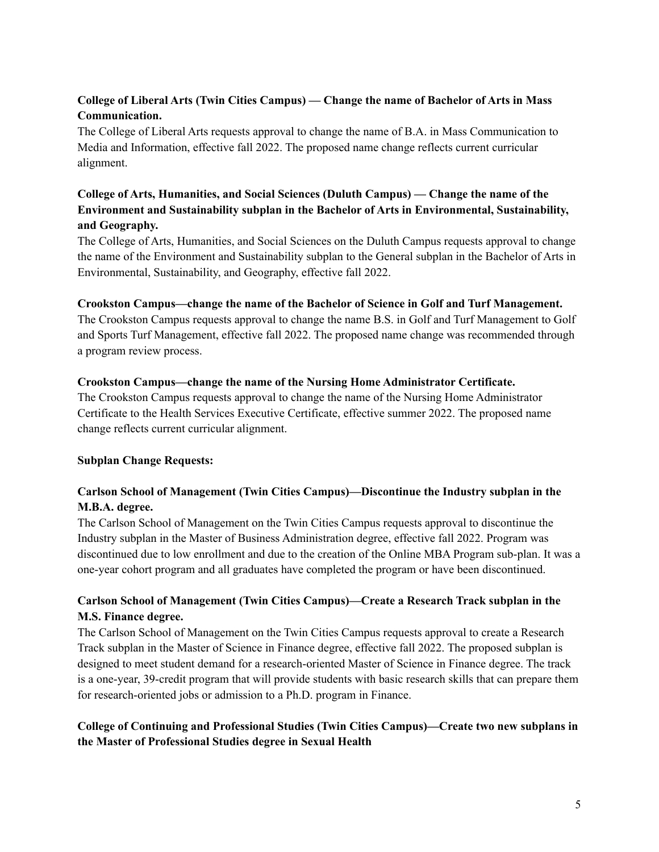# **College of Liberal Arts (Twin Cities Campus) — Change the name of Bachelor of Arts in Mass Communication.**

The College of Liberal Arts requests approval to change the name of B.A. in Mass Communication to Media and Information, effective fall 2022. The proposed name change reflects current curricular alignment.

# **College of Arts, Humanities, and Social Sciences (Duluth Campus) — Change the name of the Environment and Sustainability subplan in the Bachelor of Arts in Environmental, Sustainability, and Geography.**

The College of Arts, Humanities, and Social Sciences on the Duluth Campus requests approval to change the name of the Environment and Sustainability subplan to the General subplan in the Bachelor of Arts in Environmental, Sustainability, and Geography, effective fall 2022.

## **Crookston Campus—change the name of the Bachelor of Science in Golf and Turf Management.**

The Crookston Campus requests approval to change the name B.S. in Golf and Turf Management to Golf and Sports Turf Management, effective fall 2022. The proposed name change was recommended through a program review process.

### **Crookston Campus—change the name of the Nursing Home Administrator Certificate.**

The Crookston Campus requests approval to change the name of the Nursing Home Administrator Certificate to the Health Services Executive Certificate, effective summer 2022. The proposed name change reflects current curricular alignment.

## **Subplan Change Requests:**

## **Carlson School of Management (Twin Cities Campus)—Discontinue the Industry subplan in the M.B.A. degree.**

The Carlson School of Management on the Twin Cities Campus requests approval to discontinue the Industry subplan in the Master of Business Administration degree, effective fall 2022. Program was discontinued due to low enrollment and due to the creation of the Online MBA Program sub-plan. It was a one-year cohort program and all graduates have completed the program or have been discontinued.

# **Carlson School of Management (Twin Cities Campus)—Create a Research Track subplan in the M.S. Finance degree.**

The Carlson School of Management on the Twin Cities Campus requests approval to create a Research Track subplan in the Master of Science in Finance degree, effective fall 2022. The proposed subplan is designed to meet student demand for a research-oriented Master of Science in Finance degree. The track is a one-year, 39-credit program that will provide students with basic research skills that can prepare them for research-oriented jobs or admission to a Ph.D. program in Finance.

## **College of Continuing and Professional Studies (Twin Cities Campus)—Create two new subplans in the Master of Professional Studies degree in Sexual Health**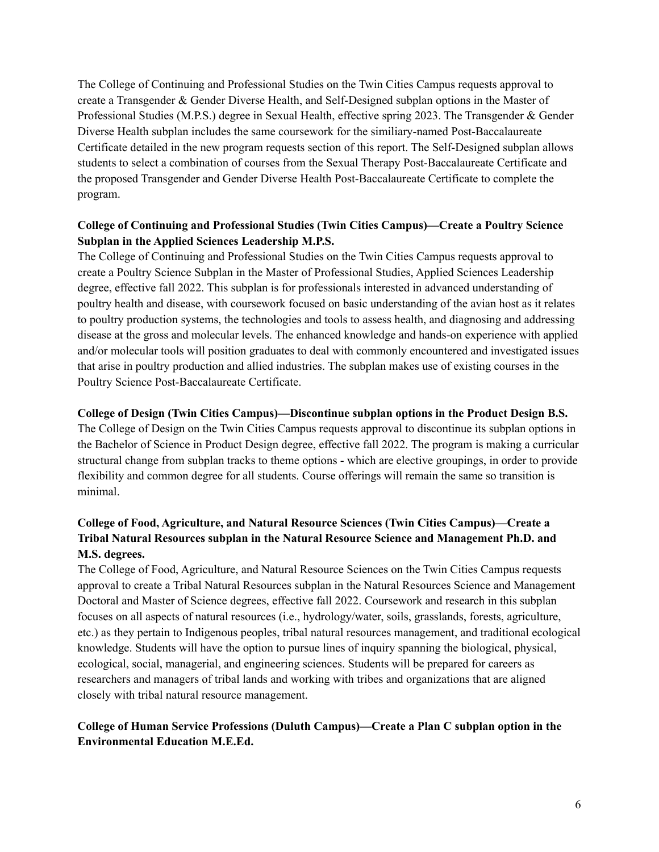The College of Continuing and Professional Studies on the Twin Cities Campus requests approval to create a Transgender & Gender Diverse Health, and Self-Designed subplan options in the Master of Professional Studies (M.P.S.) degree in Sexual Health, effective spring 2023. The Transgender & Gender Diverse Health subplan includes the same coursework for the similiary-named Post-Baccalaureate Certificate detailed in the new program requests section of this report. The Self-Designed subplan allows students to select a combination of courses from the Sexual Therapy Post-Baccalaureate Certificate and the proposed Transgender and Gender Diverse Health Post-Baccalaureate Certificate to complete the program.

## **College of Continuing and Professional Studies (Twin Cities Campus)—Create a Poultry Science Subplan in the Applied Sciences Leadership M.P.S.**

The College of Continuing and Professional Studies on the Twin Cities Campus requests approval to create a Poultry Science Subplan in the Master of Professional Studies, Applied Sciences Leadership degree, effective fall 2022. This subplan is for professionals interested in advanced understanding of poultry health and disease, with coursework focused on basic understanding of the avian host as it relates to poultry production systems, the technologies and tools to assess health, and diagnosing and addressing disease at the gross and molecular levels. The enhanced knowledge and hands-on experience with applied and/or molecular tools will position graduates to deal with commonly encountered and investigated issues that arise in poultry production and allied industries. The subplan makes use of existing courses in the Poultry Science Post-Baccalaureate Certificate.

### **College of Design (Twin Cities Campus)—Discontinue subplan options in the Product Design B.S.**

The College of Design on the Twin Cities Campus requests approval to discontinue its subplan options in the Bachelor of Science in Product Design degree, effective fall 2022. The program is making a curricular structural change from subplan tracks to theme options - which are elective groupings, in order to provide flexibility and common degree for all students. Course offerings will remain the same so transition is minimal.

# **College of Food, Agriculture, and Natural Resource Sciences (Twin Cities Campus)—Create a Tribal Natural Resources subplan in the Natural Resource Science and Management Ph.D. and M.S. degrees.**

The College of Food, Agriculture, and Natural Resource Sciences on the Twin Cities Campus requests approval to create a Tribal Natural Resources subplan in the Natural Resources Science and Management Doctoral and Master of Science degrees, effective fall 2022. Coursework and research in this subplan focuses on all aspects of natural resources (i.e., hydrology/water, soils, grasslands, forests, agriculture, etc.) as they pertain to Indigenous peoples, tribal natural resources management, and traditional ecological knowledge. Students will have the option to pursue lines of inquiry spanning the biological, physical, ecological, social, managerial, and engineering sciences. Students will be prepared for careers as researchers and managers of tribal lands and working with tribes and organizations that are aligned closely with tribal natural resource management.

## **College of Human Service Professions (Duluth Campus)—Create a Plan C subplan option in the Environmental Education M.E.Ed.**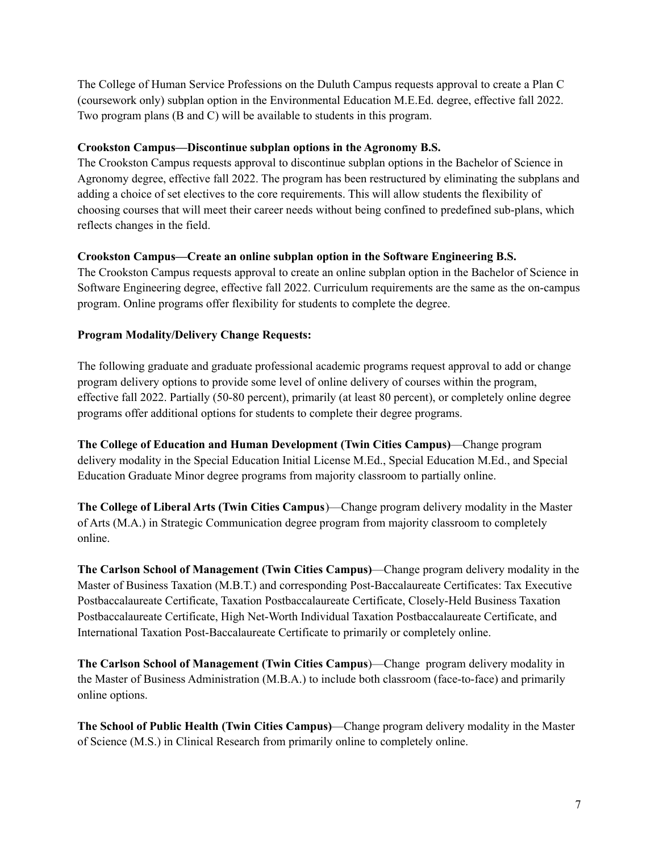The College of Human Service Professions on the Duluth Campus requests approval to create a Plan C (coursework only) subplan option in the Environmental Education M.E.Ed. degree, effective fall 2022. Two program plans (B and C) will be available to students in this program.

## **Crookston Campus—Discontinue subplan options in the Agronomy B.S.**

The Crookston Campus requests approval to discontinue subplan options in the Bachelor of Science in Agronomy degree, effective fall 2022. The program has been restructured by eliminating the subplans and adding a choice of set electives to the core requirements. This will allow students the flexibility of choosing courses that will meet their career needs without being confined to predefined sub-plans, which reflects changes in the field.

### **Crookston Campus—Create an online subplan option in the Software Engineering B.S.**

The Crookston Campus requests approval to create an online subplan option in the Bachelor of Science in Software Engineering degree, effective fall 2022. Curriculum requirements are the same as the on-campus program. Online programs offer flexibility for students to complete the degree.

## **Program Modality/Delivery Change Requests:**

The following graduate and graduate professional academic programs request approval to add or change program delivery options to provide some level of online delivery of courses within the program, effective fall 2022. Partially (50-80 percent), primarily (at least 80 percent), or completely online degree programs offer additional options for students to complete their degree programs.

**The College of Education and Human Development (Twin Cities Campus)**—Change program delivery modality in the Special Education Initial License M.Ed., Special Education M.Ed., and Special Education Graduate Minor degree programs from majority classroom to partially online.

**The College of Liberal Arts (Twin Cities Campus**)—Change program delivery modality in the Master of Arts (M.A.) in Strategic Communication degree program from majority classroom to completely online.

**The Carlson School of Management (Twin Cities Campus)**—Change program delivery modality in the Master of Business Taxation (M.B.T.) and corresponding Post-Baccalaureate Certificates: Tax Executive Postbaccalaureate Certificate, Taxation Postbaccalaureate Certificate, Closely-Held Business Taxation Postbaccalaureate Certificate, High Net-Worth Individual Taxation Postbaccalaureate Certificate, and International Taxation Post-Baccalaureate Certificate to primarily or completely online.

**The Carlson School of Management (Twin Cities Campus**)—Change program delivery modality in the Master of Business Administration (M.B.A.) to include both classroom (face-to-face) and primarily online options.

**The School of Public Health (Twin Cities Campus)**—Change program delivery modality in the Master of Science (M.S.) in Clinical Research from primarily online to completely online.